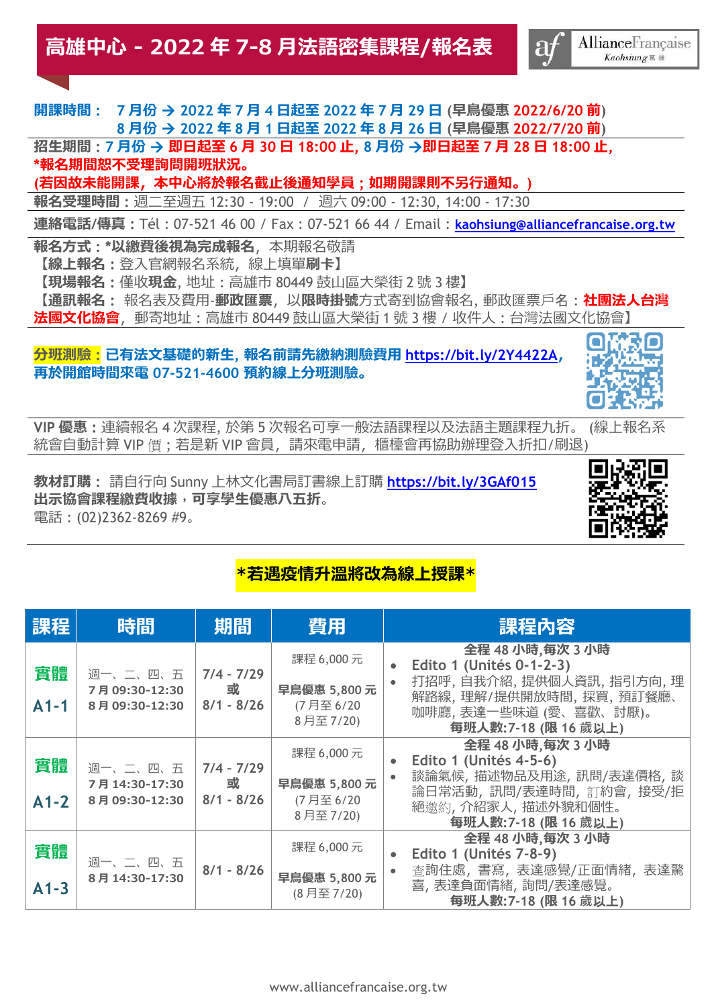## **開課時間 : 7 月份** → **2022 年 7 月 4 日起至 2022 年 7 月 29 日 (早鳥優惠 2022/6/20 前) 8 月份** → **2022 年 8 月 1 日起至 2022 年 8 月 26 日 (早鳥優惠 2022/7/20 前)**

**招生期間 : 7 月份** → **即日起至 6 月 30 日 18:00 止, 8 月份** →**即日起至 7 月 28 日 18:00 止, \*報名期間恕不受理詢問開班狀況。**

**(若因故未能開課,本中心將於報名截止後通知學員 ; 如期開課則不另行通知。)** 

**報名受理時間 :** 週二至週五 12:30 - 19:00 / 週六 09:00 - 12:30, 14:00 - 17:30

**連絡電話/傳真 :** Tél : 07-521 46 00 / Fax : 07-521 66 44 / Email : **[kaohsiung@alliancefrancaise.org.tw](mailto:kaohsiung@alliancefrancaise.org.tw)**

**報名方式 : \*以繳費後視為完成報名**,本期報名敬請 **【線上報名 :** 登入官網報名系統,線上填單**刷卡】 【現場報名 :** 僅收**現金**, 地址 : 高雄市 80449 鼓山區大榮街 2 號 3 樓**】 【通訊報名 :** 報名表及費用-**郵政匯票**,以**限時掛號**方式寄到協會報名, 郵政匯票戶名 : **社團法人台灣 法國文化協會**,郵寄地址 : 高雄市 80449 鼓山區大榮街 1 號 3 樓 / 收件人 : 台灣法國文化協會**】**

### **分班測驗 : 已有法文基礎的新生, 報名前請先繳納測驗費用 <https://bit.ly/2Y4422A>, 再於開館時間來電 07-521-4600 預約線上分班測驗。**



**VIP 優惠 :** 連續報名 4 次課程, 於第 5 次報名可享一般法語課程以及法語主題課程九折。 (線上報名系 統會自動計算 VIP 價 ; 若是新 VIP 會員, 請來電申請, 櫃檯會再協助辦理登入折扣/刷退)

**教材訂購 :** 請自行向 Sunny 上林文化書局訂書線上訂購 **<https://bit.ly/3GAf015> 出示協會課程繳費收據**,**可享學生優惠八五折**。 電話 : (02)2362-8269 #9。



## **\*若遇疫情升溫將改為線上授課\***

| 課程           | 時間                                          | 期間                                | 費用                                               | 課程內容                                                                                                                                                |
|--------------|---------------------------------------------|-----------------------------------|--------------------------------------------------|-----------------------------------------------------------------------------------------------------------------------------------------------------|
| 實體<br>$A1-1$ | 週一、二、四、五<br>7月09:30-12:30<br>8月 09:30-12:30 | $7/4 - 7/29$<br>或<br>$8/1 - 8/26$ | 課程 6,000元<br>早鳥優惠 5,800元<br>(7月至6/20<br>8月至7/20) | 全程 48 小時,每次 3 小時<br>Edito 1 (Unités 0-1-2-3)<br>打招呼,自我介紹,提供個人資訊,指引方向,理<br>解路線,理解/提供開放時間,採買,預訂餐廳、<br>咖啡廳, 表達一些味道 (愛、喜歡、討厭)。<br>每班人數: 7-18 (限 16 歲以上) |
| 實體<br>$A1-2$ | 週一、二、四、五<br>7月14:30-17:30<br>8月 09:30-12:30 | $7/4 - 7/29$<br>或<br>$8/1 - 8/26$ | 課程 6,000元<br>早鳥優惠 5,800元<br>(7月至6/20<br>8月至7/20) | 全程 48 小時,每次 3 小時<br>Edito 1 (Unités 4-5-6)<br>談論氣候, 描述物品及用途, 訊問/表達價格, 談<br>論日常活動,訊問/表達時間,訂約會,接受/拒<br>絕邀約,介紹家人,描述外貌和個性。<br>每班人數: 7-18 (限 16 歲以上)     |
| 實體<br>$A1-3$ | 週一、二、四、五<br>8月 14:30-17:30                  | $8/1 - 8/26$                      | 課程 6,000元<br>早鳥優惠 5,800元<br>(8月至7/20)            | 全程 48 小時,每次 3 小時<br>Edito 1 (Unités 7-8-9)<br>查詢住處, 書寫, 表達感覺/正面情緒, 表達驚<br>喜, 表達負面情緒, 詢問/表達感覺。<br>每班人數: 7-18 (限 16 歲以上)                              |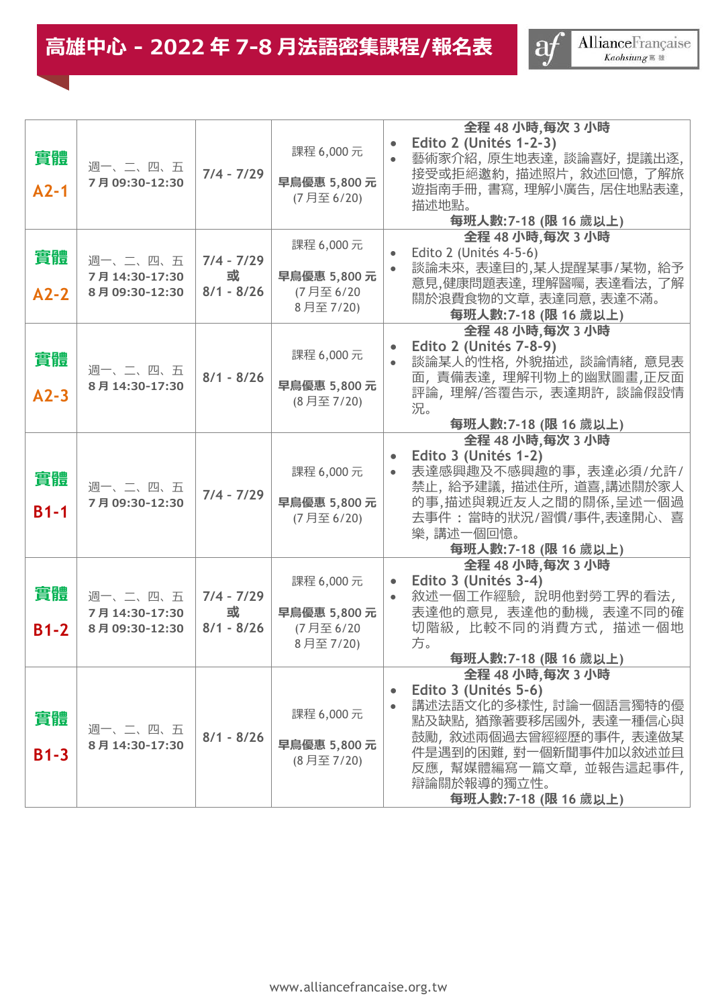# **高雄中心 - 2022 年 7-8 月法語密集課程/報名表**

 $\blacksquare$ 



|        |                                 |                   |                         | 全程 48 小時,每次 3 小時                                    |  |
|--------|---------------------------------|-------------------|-------------------------|-----------------------------------------------------|--|
| 實體     |                                 |                   | 課程 6,000元               | Edito 2 (Unités 1-2-3)<br>藝術家介紹, 原生地表達, 談論喜好, 提議出逐, |  |
|        | 週一、二、四、五<br>7月09:30-12:30       | $7/4 - 7/29$      | 早鳥優惠 5,800元             | 接受或拒絕邀約, 描述照片, 敘述回憶, 了解旅                            |  |
| $A2-1$ |                                 |                   | (7月至6/20)               | 遊指南手冊,書寫,理解小廣告,居住地點表達,<br>描述地點。                     |  |
|        |                                 |                   |                         | 每班人數:7-18 (限 16 歲以上)                                |  |
|        |                                 |                   | 課程 6,000元               | 全程 48 小時,每次 3 小時                                    |  |
| 實體     | 週一、二、四、五                        | $7/4 - 7/29$      |                         | Edito 2 (Unités 4-5-6)<br>談論未來, 表達目的,某人提醒某事/某物, 給予  |  |
|        | 7月14:30-17:30<br>8月09:30-12:30  | 或<br>$8/1 - 8/26$ | 早鳥優惠 5,800元             | 意見,健康問題表達, 理解醫囑, 表達看法, 了解                           |  |
| $A2-2$ |                                 |                   | (7月至6/20<br>8月至7/20)    | 關於浪費食物的文章,表達同意,表達不滿。                                |  |
|        |                                 |                   |                         | 每班人數:7-18 (限 16 歲以上)<br>全程 48 小時,每次 3 小時            |  |
|        |                                 |                   | 課程 6,000元               | Edito 2 (Unités 7-8-9)                              |  |
| 實體     | 週一、二、四、五                        | $8/1 - 8/26$      |                         | 談論某人的性格, 外貌描述, 談論情緒, 意見表                            |  |
| $A2-3$ | 8月14:30-17:30                   |                   | 早鳥優惠 5,800元             | 面, 責備表達, 理解刊物上的幽默圖畫,正反面<br>評論,理解/答覆告示,表達期許,談論假設情    |  |
|        |                                 |                   | (8月至7/20)               | 況。                                                  |  |
|        |                                 |                   |                         | 每班人數: 7-18 (限 16 歲以上)<br>全程 48 小時,每次 3 小時           |  |
|        |                                 |                   |                         | Edito 3 (Unités 1-2)                                |  |
| 實體     |                                 |                   | 課程 6,000元               | 表達感興趣及不感興趣的事,表達必須/允許/                               |  |
|        | 週一、二、四、五<br>7月09:30-12:30       | $7/4 - 7/29$      | 早鳥優惠 5,800元             | 禁止, 給予建議, 描述住所, 道喜,講述關於家人<br>的事,描述與親近友人之間的關係,呈述一個過  |  |
| $B1-1$ |                                 |                   | (7月至6/20)               | 去事件 : 當時的狀況/習慣/事件,表達開心、喜                            |  |
|        |                                 |                   |                         | 樂, 講述一個回憶。                                          |  |
|        |                                 |                   |                         | 每班人數: 7-18 (限 16 歲以上)<br>全程 48 小時,每次 3 小時           |  |
|        |                                 |                   | 課程 6,000元               | Edito 3 (Unités 3-4)                                |  |
| 實體     | 週一、二、四、五                        | $7/4 - 7/29$      |                         | 敘述一個工作經驗,說明他對勞工界的看法,                                |  |
| $B1-2$ | 7月14:30-17:30<br>8月 09:30-12:30 | 或<br>$8/1 - 8/26$ | 早鳥優惠 5,800元<br>(7月至6/20 | 表達他的意見, 表達他的動機, 表達不同的確<br>切階級, 比較不同的消費方式, 描述一個地     |  |
|        |                                 |                   | 8月至7/20)                | 方。                                                  |  |
|        |                                 |                   |                         | 每班人數: 7-18 (限 16 歲以上)<br>全程 48 小時,每次 3 小時           |  |
|        |                                 |                   |                         | Edito 3 (Unités 5-6)                                |  |
|        |                                 |                   | 課程 6,000元               | 講述法語文化的多樣性, 討論一個語言獨特的優                              |  |
| 實體     | 週一、二、四、五                        | $8/1 - 8/26$      |                         | 點及缺點, 猶豫著要移居國外, 表達一種信心與<br>鼓勵, 敘述兩個過去曾經經歷的事件, 表達做某  |  |
| $B1-3$ | 8月 14:30-17:30                  |                   | 早鳥優惠 5,800元             | 件是遇到的困難, 對一個新聞事件加以敘述並且                              |  |
|        |                                 |                   | (8月至7/20)               | 反應,幫媒體編寫一篇文章,並報告這起事件,                               |  |
|        |                                 |                   |                         | 辯論關於報導的獨立性。<br>每班人數: 7-18 (限 16 歲以上)                |  |
|        |                                 |                   |                         |                                                     |  |